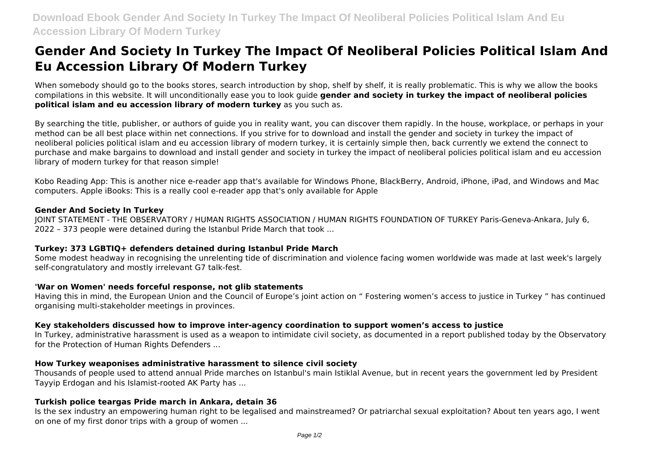# **Gender And Society In Turkey The Impact Of Neoliberal Policies Political Islam And Eu Accession Library Of Modern Turkey**

When somebody should go to the books stores, search introduction by shop, shelf by shelf, it is really problematic. This is why we allow the books compilations in this website. It will unconditionally ease you to look guide **gender and society in turkey the impact of neoliberal policies political islam and eu accession library of modern turkey** as you such as.

By searching the title, publisher, or authors of guide you in reality want, you can discover them rapidly. In the house, workplace, or perhaps in your method can be all best place within net connections. If you strive for to download and install the gender and society in turkey the impact of neoliberal policies political islam and eu accession library of modern turkey, it is certainly simple then, back currently we extend the connect to purchase and make bargains to download and install gender and society in turkey the impact of neoliberal policies political islam and eu accession library of modern turkey for that reason simple!

Kobo Reading App: This is another nice e-reader app that's available for Windows Phone, BlackBerry, Android, iPhone, iPad, and Windows and Mac computers. Apple iBooks: This is a really cool e-reader app that's only available for Apple

# **Gender And Society In Turkey**

JOINT STATEMENT - THE OBSERVATORY / HUMAN RIGHTS ASSOCIATION / HUMAN RIGHTS FOUNDATION OF TURKEY Paris-Geneva-Ankara, July 6, 2022 – 373 people were detained during the Istanbul Pride March that took ...

# **Turkey: 373 LGBTIQ+ defenders detained during Istanbul Pride March**

Some modest headway in recognising the unrelenting tide of discrimination and violence facing women worldwide was made at last week's largely self-congratulatory and mostly irrelevant G7 talk-fest.

#### **'War on Women' needs forceful response, not glib statements**

Having this in mind, the European Union and the Council of Europe's joint action on " Fostering women's access to justice in Turkey " has continued organising multi-stakeholder meetings in provinces.

# **Key stakeholders discussed how to improve inter-agency coordination to support women's access to justice**

In Turkey, administrative harassment is used as a weapon to intimidate civil society, as documented in a report published today by the Observatory for the Protection of Human Rights Defenders ...

#### **How Turkey weaponises administrative harassment to silence civil society**

Thousands of people used to attend annual Pride marches on Istanbul's main Istiklal Avenue, but in recent years the government led by President Tayyip Erdogan and his Islamist-rooted AK Party has ...

# **Turkish police teargas Pride march in Ankara, detain 36**

Is the sex industry an empowering human right to be legalised and mainstreamed? Or patriarchal sexual exploitation? About ten years ago, I went on one of my first donor trips with a group of women ...